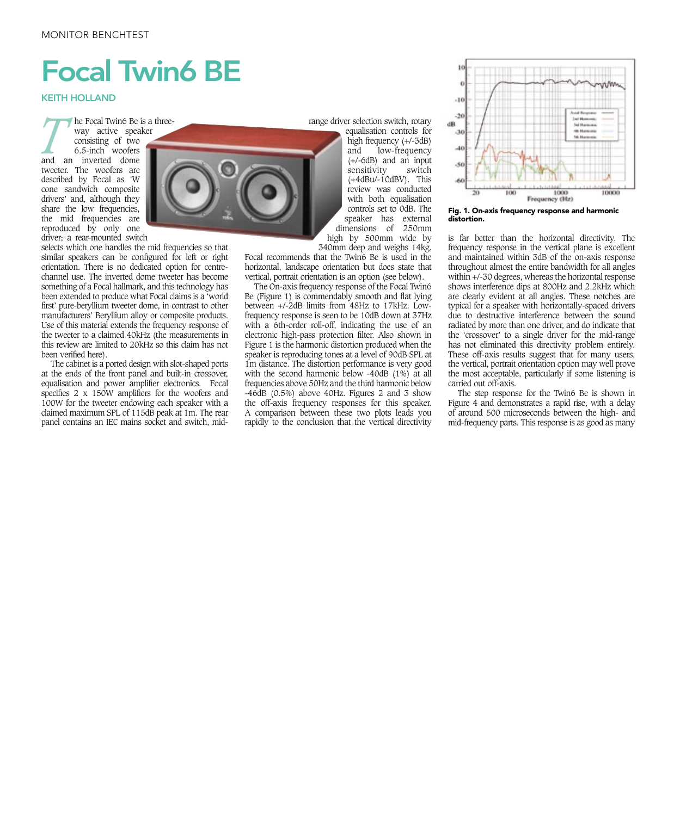## Focal Twin6 BE

KEITH HOLLAND

*T* he Focal Twin6 Be is a threeway active speaker consisting of two 6.5-inch woofers and an inverted dome tweeter. The woofers are described by Focal as 'W cone sandwich composite drivers' and, although they share the low frequencies, the mid frequencies are reproduced by only one driver; a rear-mounted switch

selects which one handles the mid frequencies so that similar speakers can be configured for left or right orientation. There is no dedicated option for centrechannel use. The inverted dome tweeter has become something of a Focal hallmark, and this technology has been extended to produce what Focal claims is a 'world first' pure-beryllium tweeter dome, in contrast to other manufacturers' Beryllium alloy or composite products. Use of this material extends the frequency response of the tweeter to a claimed 40kHz (the measurements in this review are limited to 20kHz so this claim has not been verified here).

The cabinet is a ported design with slot-shaped ports at the ends of the front panel and built-in crossover, equalisation and power amplifier electronics. Focal specifies 2 x 150W amplifiers for the woofers and 100W for the tweeter endowing each speaker with a claimed maximum SPL of 115dB peak at 1m. The rear panel contains an IEC mains socket and switch, midrange driver selection switch, rotary

equalisation controls for high frequency (+/-3dB) and low-frequency (+/-6dB) and an input sensitivity (+4dBu/-10dBV). This review was conducted with both equalisation controls set to 0dB. The speaker has external dimensions of 250mm high by 500mm wide by

340mm deep and weighs 14kg. Focal recommends that the Twin6 Be is used in the horizontal, landscape orientation but does state that vertical, portrait orientation is an option (see below).

The On-axis frequency response of the Focal Twin6 Be (Figure 1) is commendably smooth and flat lying between +/-2dB limits from 48Hz to 17kHz. Lowfrequency response is seen to be 10dB down at 37Hz with a 6th-order roll-off, indicating the use of an electronic high-pass protection filter. Also shown in Figure 1 is the harmonic distortion produced when the speaker is reproducing tones at a level of 90dB SPL at 1m distance. The distortion performance is very good with the second harmonic below -40dB (1%) at all frequencies above 50Hz and the third harmonic below -46dB (0.5%) above 40Hz. Figures 2 and 3 show the off-axis frequency responses for this speaker. A comparison between these two plots leads you rapidly to the conclusion that the vertical directivity



Fig. 1. On-axis frequency response and harmonic distortion.

is far better than the horizontal directivity. The frequency response in the vertical plane is excellent and maintained within 3dB of the on-axis response throughout almost the entire bandwidth for all angles within +/-30 degrees, whereas the horizontal response shows interference dips at 800Hz and 2.2kHz which are clearly evident at all angles. These notches are typical for a speaker with horizontally-spaced drivers due to destructive interference between the sound radiated by more than one driver, and do indicate that the 'crossover' to a single driver for the mid-range has not eliminated this directivity problem entirely. These off-axis results suggest that for many users, the vertical, portrait orientation option may well prove the most acceptable, particularly if some listening is carried out off-axis.

The step response for the Twin6 Be is shown in Figure 4 and demonstrates a rapid rise, with a delay of around 500 microseconds between the high- and mid-frequency parts. This response is as good as many